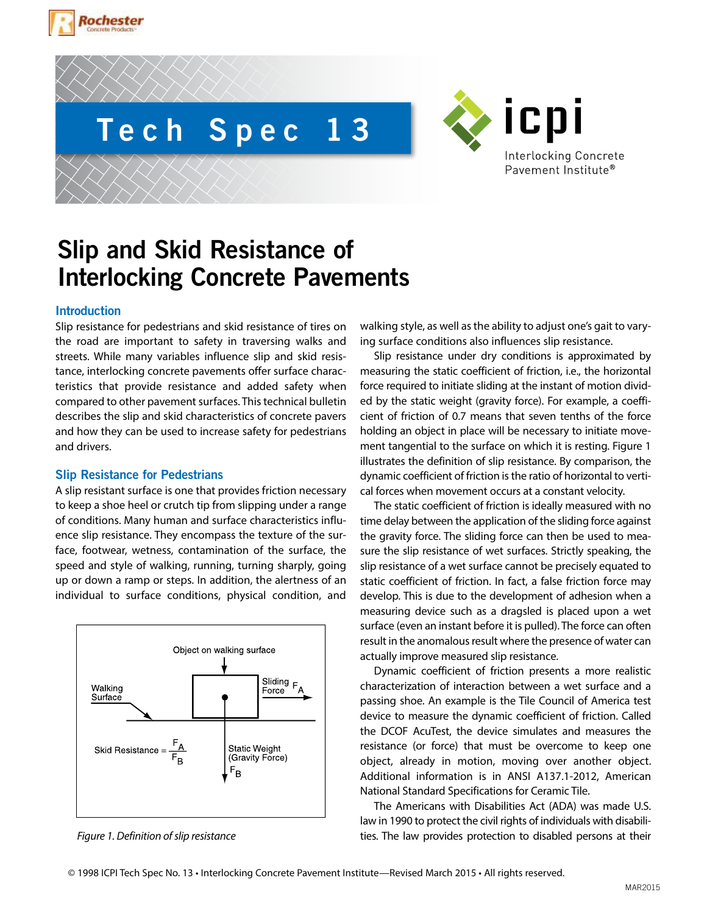



ICPI Interlocking Concrete Pavement Institute®

# **Slip and Skid Resistance of Interlocking Concrete Pavements**

# **Introduction**

Slip resistance for pedestrians and skid resistance of tires on the road are important to safety in traversing walks and streets. While many variables influence slip and skid resistance, interlocking concrete pavements offer surface characteristics that provide resistance and added safety when compared to other pavement surfaces. This technical bulletin describes the slip and skid characteristics of concrete pavers and how they can be used to increase safety for pedestrians and drivers.

# **Slip Resistance for Pedestrians**

A slip resistant surface is one that provides friction necessary to keep a shoe heel or crutch tip from slipping under a range of conditions. Many human and surface characteristics influence slip resistance. They encompass the texture of the surface, footwear, wetness, contamination of the surface, the speed and style of walking, running, turning sharply, going up or down a ramp or steps. In addition, the alertness of an individual to surface conditions, physical condition, and



walking style, as well as the ability to adjust one's gait to varying surface conditions also influences slip resistance.

Slip resistance under dry conditions is approximated by measuring the static coefficient of friction, i.e., the horizontal force required to initiate sliding at the instant of motion divided by the static weight (gravity force). For example, a coefficient of friction of 0.7 means that seven tenths of the force holding an object in place will be necessary to initiate movement tangential to the surface on which it is resting. Figure 1 illustrates the definition of slip resistance. By comparison, the dynamic coefficient of friction is the ratio of horizontal to vertical forces when movement occurs at a constant velocity.

The static coefficient of friction is ideally measured with no time delay between the application of the sliding force against the gravity force. The sliding force can then be used to measure the slip resistance of wet surfaces. Strictly speaking, the slip resistance of a wet surface cannot be precisely equated to static coefficient of friction. In fact, a false friction force may develop. This is due to the development of adhesion when a measuring device such as a dragsled is placed upon a wet surface (even an instant before it is pulled). The force can often result in the anomalous result where the presence of water can actually improve measured slip resistance.

Dynamic coefficient of friction presents a more realistic characterization of interaction between a wet surface and a passing shoe. An example is the Tile Council of America test device to measure the dynamic coefficient of friction. Called the DCOF AcuTest, the device simulates and measures the resistance (or force) that must be overcome to keep one object, already in motion, moving over another object. Additional information is in ANSI A137.1-2012, American National Standard Specifications for Ceramic Tile.

The Americans with Disabilities Act (ADA) was made U.S. law in 1990 to protect the civil rights of individuals with disabili-*Figure 1. Definition of slip resistance* ties. The law provides protection to disabled persons at their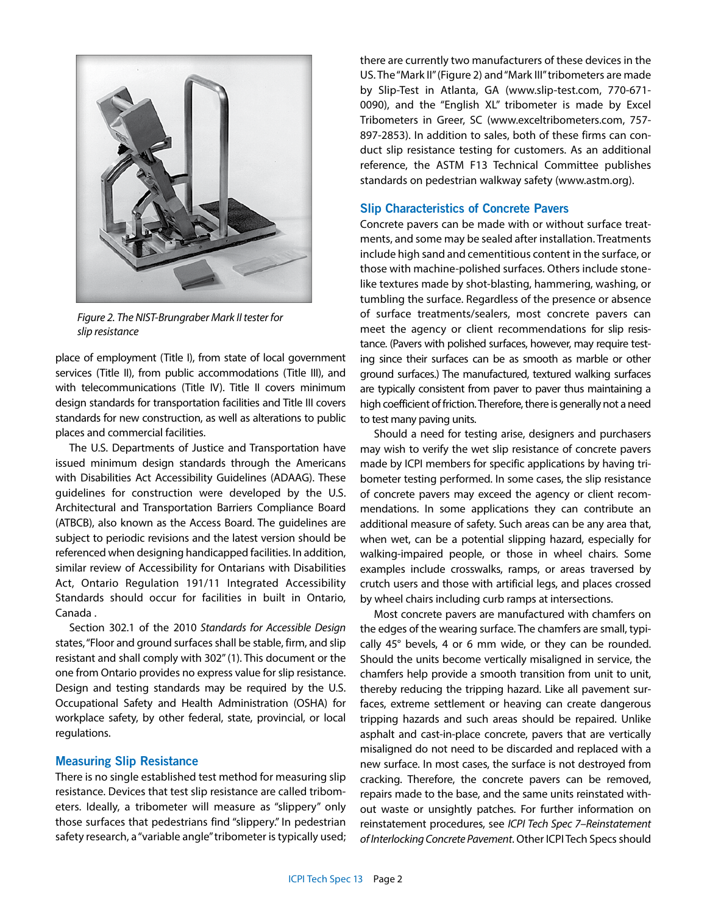

*Figure 2. The NIST-Brungraber Mark II tester for slip resistance*

place of employment (Title I), from state of local government services (Title II), from public accommodations (Title III), and with telecommunications (Title IV). Title II covers minimum design standards for transportation facilities and Title III covers standards for new construction, as well as alterations to public places and commercial facilities.

The U.S. Departments of Justice and Transportation have issued minimum design standards through the Americans with Disabilities Act Accessibility Guidelines (ADAAG). These guidelines for construction were developed by the U.S. Architectural and Transportation Barriers Compliance Board (ATBCB), also known as the Access Board. The guidelines are subject to periodic revisions and the latest version should be referenced when designing handicapped facilities. In addition, similar review of Accessibility for Ontarians with Disabilities Act, Ontario Regulation 191/11 Integrated Accessibility Standards should occur for facilities in built in Ontario, Canada .

Section 302.1 of the 2010 *Standards for Accessible Design*  states, "Floor and ground surfaces shall be stable, firm, and slip resistant and shall comply with 302" (1). This document or the one from Ontario provides no express value for slip resistance. Design and testing standards may be required by the U.S. Occupational Safety and Health Administration (OSHA) for workplace safety, by other federal, state, provincial, or local regulations.

#### **Measuring Slip Resistance**

There is no single established test method for measuring slip resistance. Devices that test slip resistance are called tribometers. Ideally, a tribometer will measure as "slippery" only those surfaces that pedestrians find "slippery." In pedestrian safety research, a "variable angle" tribometer is typically used;

there are currently two manufacturers of these devices in the US. The "Mark II" (Figure 2) and "Mark III" tribometers are made by Slip-Test in Atlanta, GA (www.slip-test.com, 770-671- 0090), and the "English XL" tribometer is made by Excel Tribometers in Greer, SC (www.exceltribometers.com, 757- 897-2853). In addition to sales, both of these firms can conduct slip resistance testing for customers. As an additional reference, the ASTM F13 Technical Committee publishes standards on pedestrian walkway safety (www.astm.org).

## **Slip Characteristics of Concrete Pavers**

Concrete pavers can be made with or without surface treatments, and some may be sealed after installation. Treatments include high sand and cementitious content in the surface, or those with machine-polished surfaces. Others include stonelike textures made by shot-blasting, hammering, washing, or tumbling the surface. Regardless of the presence or absence of surface treatments/sealers, most concrete pavers can meet the agency or client recommendations for slip resistance. (Pavers with polished surfaces, however, may require testing since their surfaces can be as smooth as marble or other ground surfaces.) The manufactured, textured walking surfaces are typically consistent from paver to paver thus maintaining a high coefficient of friction. Therefore, there is generally not a need to test many paving units.

Should a need for testing arise, designers and purchasers may wish to verify the wet slip resistance of concrete pavers made by ICPI members for specific applications by having tribometer testing performed. In some cases, the slip resistance of concrete pavers may exceed the agency or client recommendations. In some applications they can contribute an additional measure of safety. Such areas can be any area that, when wet, can be a potential slipping hazard, especially for walking-impaired people, or those in wheel chairs. Some examples include crosswalks, ramps, or areas traversed by crutch users and those with artificial legs, and places crossed by wheel chairs including curb ramps at intersections.

Most concrete pavers are manufactured with chamfers on the edges of the wearing surface. The chamfers are small, typically 45° bevels, 4 or 6 mm wide, or they can be rounded. Should the units become vertically misaligned in service, the chamfers help provide a smooth transition from unit to unit, thereby reducing the tripping hazard. Like all pavement surfaces, extreme settlement or heaving can create dangerous tripping hazards and such areas should be repaired. Unlike asphalt and cast-in-place concrete, pavers that are vertically misaligned do not need to be discarded and replaced with a new surface. In most cases, the surface is not destroyed from cracking. Therefore, the concrete pavers can be removed, repairs made to the base, and the same units reinstated without waste or unsightly patches. For further information on reinstatement procedures, see *ICPI Tech Spec 7–Reinstatement of Interlocking Concrete Pavement*. Other ICPI Tech Specs should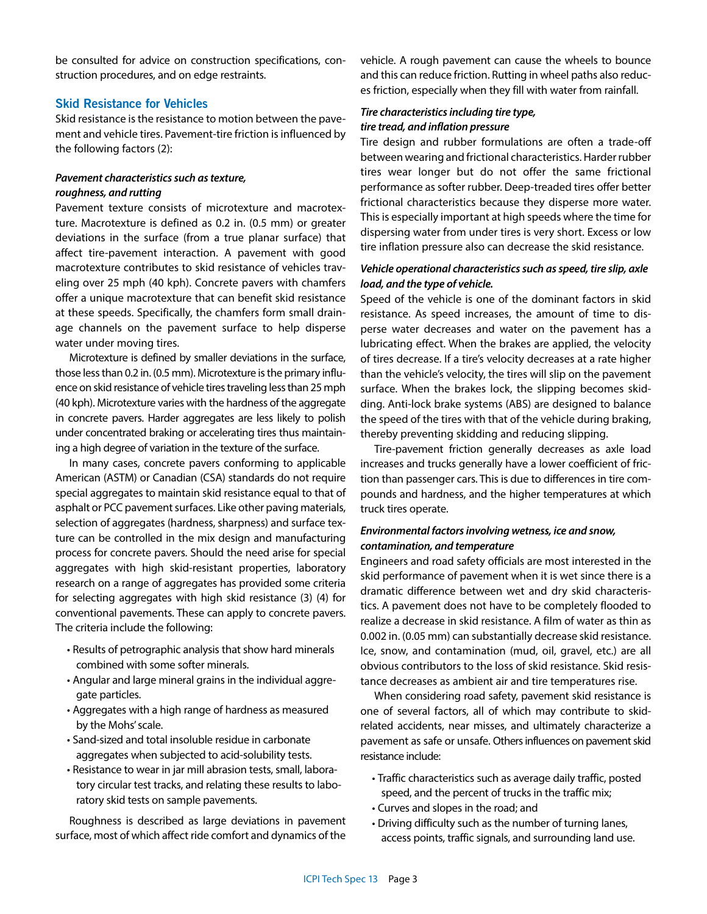be consulted for advice on construction specifications, construction procedures, and on edge restraints.

#### **Skid Resistance for Vehicles**

Skid resistance is the resistance to motion between the pavement and vehicle tires. Pavement-tire friction is influenced by the following factors (2):

# *Pavement characteristics such as texture, roughness, and rutting*

Pavement texture consists of microtexture and macrotexture. Macrotexture is defined as 0.2 in. (0.5 mm) or greater deviations in the surface (from a true planar surface) that affect tire-pavement interaction. A pavement with good macrotexture contributes to skid resistance of vehicles traveling over 25 mph (40 kph). Concrete pavers with chamfers offer a unique macrotexture that can benefit skid resistance at these speeds. Specifically, the chamfers form small drainage channels on the pavement surface to help disperse water under moving tires.

Microtexture is defined by smaller deviations in the surface, those less than 0.2 in. (0.5 mm). Microtexture is the primary influence on skid resistance of vehicle tires traveling less than 25 mph (40 kph). Microtexture varies with the hardness of the aggregate in concrete pavers. Harder aggregates are less likely to polish under concentrated braking or accelerating tires thus maintaining a high degree of variation in the texture of the surface.

In many cases, concrete pavers conforming to applicable American (ASTM) or Canadian (CSA) standards do not require special aggregates to maintain skid resistance equal to that of asphalt or PCC pavement surfaces. Like other paving materials, selection of aggregates (hardness, sharpness) and surface texture can be controlled in the mix design and manufacturing process for concrete pavers. Should the need arise for special aggregates with high skid-resistant properties, laboratory research on a range of aggregates has provided some criteria for selecting aggregates with high skid resistance (3) (4) for conventional pavements. These can apply to concrete pavers. The criteria include the following:

- Results of petrographic analysis that show hard minerals combined with some softer minerals.
- Angular and large mineral grains in the individual aggregate particles.
- Aggregates with a high range of hardness as measured by the Mohs' scale.
- Sand-sized and total insoluble residue in carbonate aggregates when subjected to acid-solubility tests.
- Resistance to wear in jar mill abrasion tests, small, laboratory circular test tracks, and relating these results to laboratory skid tests on sample pavements.

Roughness is described as large deviations in pavement surface, most of which affect ride comfort and dynamics of the

vehicle. A rough pavement can cause the wheels to bounce and this can reduce friction. Rutting in wheel paths also reduces friction, especially when they fill with water from rainfall.

# *Tire characteristics including tire type, tire tread, and inflation pressure*

Tire design and rubber formulations are often a trade-off between wearing and frictional characteristics. Harder rubber tires wear longer but do not offer the same frictional performance as softer rubber. Deep-treaded tires offer better frictional characteristics because they disperse more water. This is especially important at high speeds where the time for dispersing water from under tires is very short. Excess or low tire inflation pressure also can decrease the skid resistance.

# *Vehicle operational characteristics such as speed, tire slip, axle load, and the type of vehicle.*

Speed of the vehicle is one of the dominant factors in skid resistance. As speed increases, the amount of time to disperse water decreases and water on the pavement has a lubricating effect. When the brakes are applied, the velocity of tires decrease. If a tire's velocity decreases at a rate higher than the vehicle's velocity, the tires will slip on the pavement surface. When the brakes lock, the slipping becomes skidding. Anti-lock brake systems (ABS) are designed to balance the speed of the tires with that of the vehicle during braking, thereby preventing skidding and reducing slipping.

Tire-pavement friction generally decreases as axle load increases and trucks generally have a lower coefficient of friction than passenger cars. This is due to differences in tire compounds and hardness, and the higher temperatures at which truck tires operate.

# *Environmental factors involving wetness, ice and snow, contamination, and temperature*

Engineers and road safety officials are most interested in the skid performance of pavement when it is wet since there is a dramatic difference between wet and dry skid characteristics. A pavement does not have to be completely flooded to realize a decrease in skid resistance. A film of water as thin as 0.002 in. (0.05 mm) can substantially decrease skid resistance. Ice, snow, and contamination (mud, oil, gravel, etc.) are all obvious contributors to the loss of skid resistance. Skid resistance decreases as ambient air and tire temperatures rise.

When considering road safety, pavement skid resistance is one of several factors, all of which may contribute to skidrelated accidents, near misses, and ultimately characterize a pavement as safe or unsafe. Others influences on pavement skid resistance include:

- Traffic characteristics such as average daily traffic, posted speed, and the percent of trucks in the traffic mix;
- Curves and slopes in the road; and
- Driving difficulty such as the number of turning lanes, access points, traffic signals, and surrounding land use.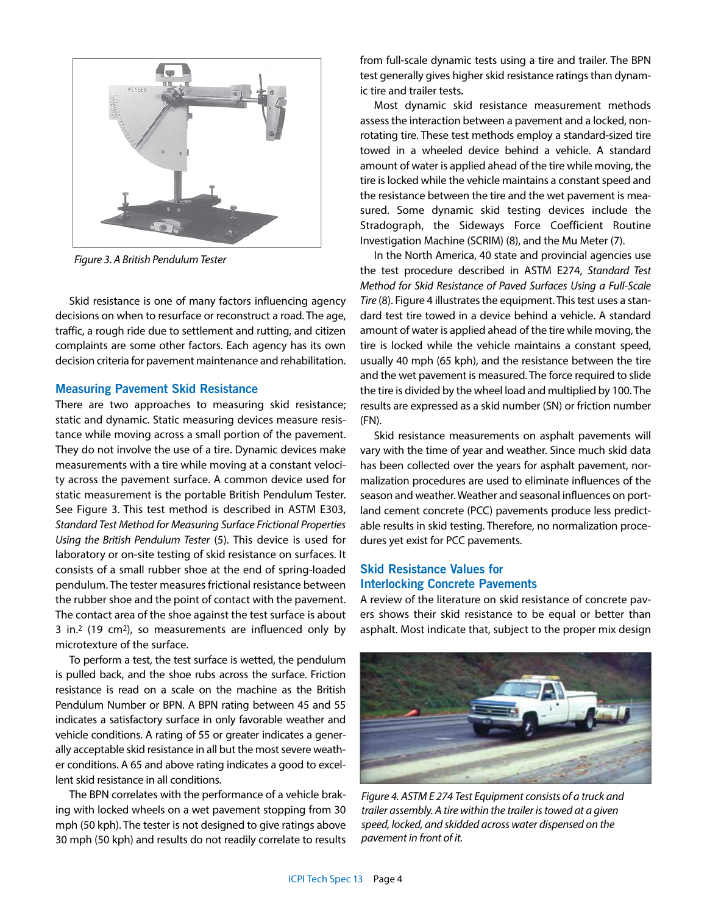

*Figure 3. A British Pendulum Tester*

Skid resistance is one of many factors influencing agency decisions on when to resurface or reconstruct a road. The age, traffic, a rough ride due to settlement and rutting, and citizen complaints are some other factors. Each agency has its own decision criteria for pavement maintenance and rehabilitation.

#### **Measuring Pavement Skid Resistance**

There are two approaches to measuring skid resistance; static and dynamic. Static measuring devices measure resistance while moving across a small portion of the pavement. They do not involve the use of a tire. Dynamic devices make measurements with a tire while moving at a constant velocity across the pavement surface. A common device used for static measurement is the portable British Pendulum Tester. See Figure 3. This test method is described in ASTM E303, *Standard Test Method for Measuring Surface Frictional Properties Using the British Pendulum Tester* (5). This device is used for laboratory or on-site testing of skid resistance on surfaces. It consists of a small rubber shoe at the end of spring-loaded pendulum. The tester measures frictional resistance between the rubber shoe and the point of contact with the pavement. The contact area of the shoe against the test surface is about 3 in.2 (19 cm2), so measurements are influenced only by microtexture of the surface.

To perform a test, the test surface is wetted, the pendulum is pulled back, and the shoe rubs across the surface. Friction resistance is read on a scale on the machine as the British Pendulum Number or BPN. A BPN rating between 45 and 55 indicates a satisfactory surface in only favorable weather and vehicle conditions. A rating of 55 or greater indicates a generally acceptable skid resistance in all but the most severe weather conditions. A 65 and above rating indicates a good to excellent skid resistance in all conditions.

The BPN correlates with the performance of a vehicle braking with locked wheels on a wet pavement stopping from 30 mph (50 kph). The tester is not designed to give ratings above 30 mph (50 kph) and results do not readily correlate to results from full-scale dynamic tests using a tire and trailer. The BPN test generally gives higher skid resistance ratings than dynamic tire and trailer tests.

Most dynamic skid resistance measurement methods assess the interaction between a pavement and a locked, nonrotating tire. These test methods employ a standard-sized tire towed in a wheeled device behind a vehicle. A standard amount of water is applied ahead of the tire while moving, the tire is locked while the vehicle maintains a constant speed and the resistance between the tire and the wet pavement is measured. Some dynamic skid testing devices include the Stradograph, the Sideways Force Coefficient Routine Investigation Machine (SCRIM) (8), and the Mu Meter (7).

In the North America, 40 state and provincial agencies use the test procedure described in ASTM E274, *Standard Test Method for Skid Resistance of Paved Surfaces Using a Full-Scale Tire* (8). Figure 4 illustrates the equipment. This test uses a standard test tire towed in a device behind a vehicle. A standard amount of water is applied ahead of the tire while moving, the tire is locked while the vehicle maintains a constant speed, usually 40 mph (65 kph), and the resistance between the tire and the wet pavement is measured. The force required to slide the tire is divided by the wheel load and multiplied by 100. The results are expressed as a skid number (SN) or friction number (FN).

Skid resistance measurements on asphalt pavements will vary with the time of year and weather. Since much skid data has been collected over the years for asphalt pavement, normalization procedures are used to eliminate influences of the season and weather. Weather and seasonal influences on portland cement concrete (PCC) pavements produce less predictable results in skid testing. Therefore, no normalization procedures yet exist for PCC pavements.

# **Skid Resistance Values for Interlocking Concrete Pavements**

A review of the literature on skid resistance of concrete pavers shows their skid resistance to be equal or better than asphalt. Most indicate that, subject to the proper mix design



*Figure 4. ASTM E 274 Test Equipment consists of a truck and trailer assembly. A tire within the trailer is towed at a given speed, locked, and skidded across water dispensed on the pavement in front of it.*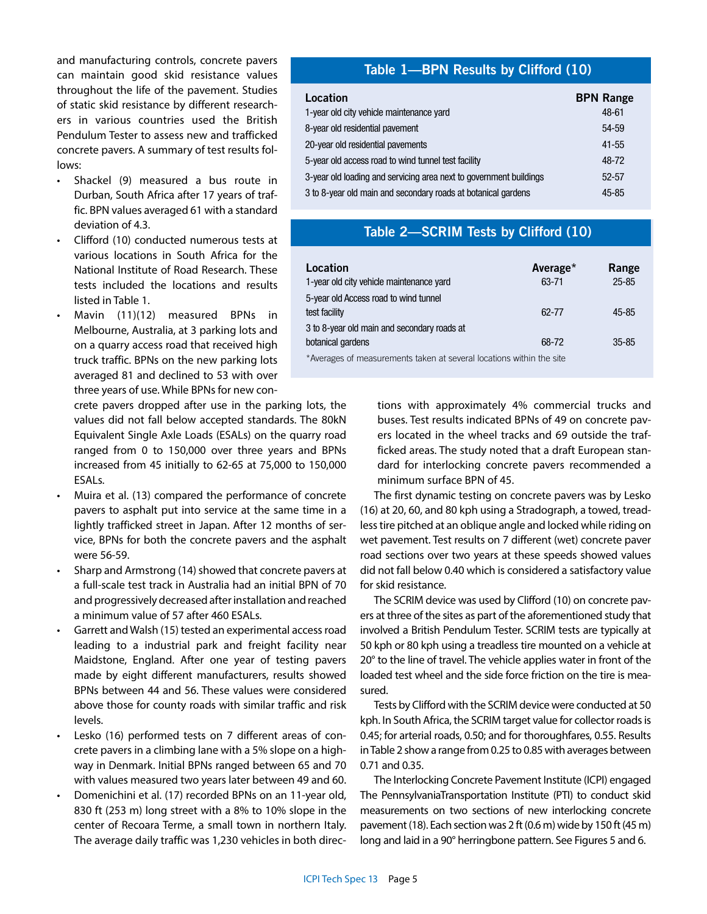and manufacturing controls, concrete pavers can maintain good skid resistance values throughout the life of the pavement. Studies of static skid resistance by different researchers in various countries used the British Pendulum Tester to assess new and trafficked concrete pavers. A summary of test results follows:

- Shackel (9) measured a bus route in Durban, South Africa after 17 years of traffic. BPN values averaged 61 with a standard deviation of 4.3.
- Clifford (10) conducted numerous tests at various locations in South Africa for the National Institute of Road Research. These tests included the locations and results listed in Table 1.
- Mavin (11)(12) measured BPNs in Melbourne, Australia, at 3 parking lots and on a quarry access road that received high truck traffic. BPNs on the new parking lots averaged 81 and declined to 53 with over three years of use. While BPNs for new con-

crete pavers dropped after use in the parking lots, the values did not fall below accepted standards. The 80kN Equivalent Single Axle Loads (ESALs) on the quarry road ranged from 0 to 150,000 over three years and BPNs increased from 45 initially to 62-65 at 75,000 to 150,000 ESALs.

- Muira et al. (13) compared the performance of concrete pavers to asphalt put into service at the same time in a lightly trafficked street in Japan. After 12 months of service, BPNs for both the concrete pavers and the asphalt were 56-59.
- Sharp and Armstrong (14) showed that concrete pavers at a full-scale test track in Australia had an initial BPN of 70 and progressively decreased after installation and reached a minimum value of 57 after 460 ESALs.
- Garrett and Walsh (15) tested an experimental access road leading to a industrial park and freight facility near Maidstone, England. After one year of testing pavers made by eight different manufacturers, results showed BPNs between 44 and 56. These values were considered above those for county roads with similar traffic and risk levels.
- Lesko (16) performed tests on 7 different areas of concrete pavers in a climbing lane with a 5% slope on a highway in Denmark. Initial BPNs ranged between 65 and 70 with values measured two years later between 49 and 60.
- Domenichini et al. (17) recorded BPNs on an 11-year old, 830 ft (253 m) long street with a 8% to 10% slope in the center of Recoara Terme, a small town in northern Italy. The average daily traffic was 1,230 vehicles in both direc-

# **Table 1—BPN Results by Clifford (10)**

| Location                                                           | <b>BPN Range</b> |
|--------------------------------------------------------------------|------------------|
| 1-year old city vehicle maintenance yard                           | 48-61            |
| 8-year old residential pavement                                    | 54-59            |
| 20-year old residential pavements                                  | $41 - 55$        |
| 5-year old access road to wind tunnel test facility                | 48-72            |
| 3-year old loading and servicing area next to government buildings | $52 - 57$        |
| 3 to 8-year old main and secondary roads at botanical gardens      | $45 - 85$        |

# **Table 2—SCRIM Tests by Clifford (10)**

| Location                                                            | Average <sup>*</sup> | Range     |
|---------------------------------------------------------------------|----------------------|-----------|
| 1-year old city vehicle maintenance yard                            | 63-71                | $25 - 85$ |
| 5-year old Access road to wind tunnel                               |                      |           |
| test facility                                                       | 62-77                | $45 - 85$ |
| 3 to 8-year old main and secondary roads at                         |                      |           |
| botanical gardens                                                   | 68-72                | $35 - 85$ |
| *Average of moseurements teken at coveral locations within the site |                      |           |

Averages of measurements taken at several locations within the site

tions with approximately 4% commercial trucks and buses. Test results indicated BPNs of 49 on concrete pavers located in the wheel tracks and 69 outside the trafficked areas. The study noted that a draft European standard for interlocking concrete pavers recommended a minimum surface BPN of 45.

The first dynamic testing on concrete pavers was by Lesko (16) at 20, 60, and 80 kph using a Stradograph, a towed, treadless tire pitched at an oblique angle and locked while riding on wet pavement. Test results on 7 different (wet) concrete paver road sections over two years at these speeds showed values did not fall below 0.40 which is considered a satisfactory value for skid resistance.

The SCRIM device was used by Clifford (10) on concrete pavers at three of the sites as part of the aforementioned study that involved a British Pendulum Tester. SCRIM tests are typically at 50 kph or 80 kph using a treadless tire mounted on a vehicle at 20° to the line of travel. The vehicle applies water in front of the loaded test wheel and the side force friction on the tire is measured.

Tests by Clifford with the SCRIM device were conducted at 50 kph. In South Africa, the SCRIM target value for collector roads is 0.45; for arterial roads, 0.50; and for thoroughfares, 0.55. Results in Table 2 show a range from 0.25 to 0.85 with averages between 0.71 and 0.35.

The Interlocking Concrete Pavement Institute (ICPI) engaged The PennsylvaniaTransportation Institute (PTI) to conduct skid measurements on two sections of new interlocking concrete pavement (18). Each section was 2 ft (0.6 m) wide by 150 ft (45 m) long and laid in a 90° herringbone pattern. See Figures 5 and 6.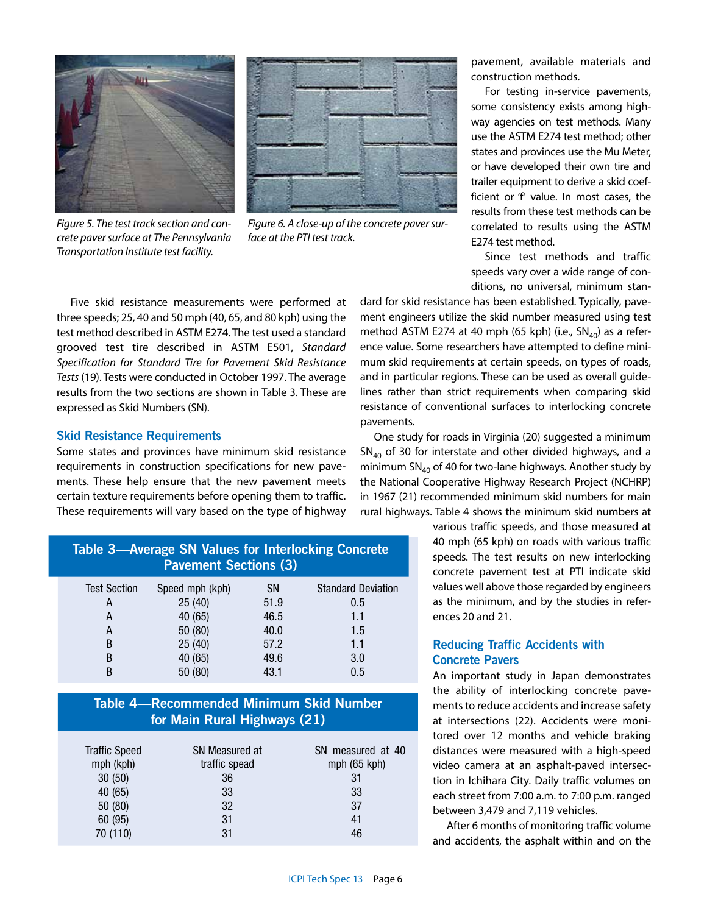

*Figure 5. The test track section and concrete paver surface at The Pennsylvania Transportation Institute test facility.*



*Figure 6. A close-up of the concrete paver surface at the PTI test track.*

pavement, available materials and construction methods.

For testing in-service pavements, some consistency exists among highway agencies on test methods. Many use the ASTM E274 test method; other states and provinces use the Mu Meter, or have developed their own tire and trailer equipment to derive a skid coefficient or 'f' value. In most cases, the results from these test methods can be correlated to results using the ASTM E274 test method.

Since test methods and traffic speeds vary over a wide range of conditions, no universal, minimum stan-

Five skid resistance measurements were performed at three speeds; 25, 40 and 50 mph (40, 65, and 80 kph) using the test method described in ASTM E274. The test used a standard grooved test tire described in ASTM E501, *Standard Specification for Standard Tire for Pavement Skid Resistance Tests* (19). Tests were conducted in October 1997. The average results from the two sections are shown in Table 3. These are expressed as Skid Numbers (SN).

## **Skid Resistance Requirements**

Some states and provinces have minimum skid resistance requirements in construction specifications for new pavements. These help ensure that the new pavement meets certain texture requirements before opening them to traffic. These requirements will vary based on the type of highway

| Table 3—Average SN Values for Interlocking Concrete<br><b>Pavement Sections (3)</b> |                 |           |                           |  |
|-------------------------------------------------------------------------------------|-----------------|-----------|---------------------------|--|
| <b>Test Section</b>                                                                 | Speed mph (kph) | <b>SN</b> | <b>Standard Deviation</b> |  |
| A                                                                                   | 25(40)          | 51.9      | 0.5                       |  |
| А                                                                                   | 40 (65)         | 46.5      | 1.1                       |  |
| A                                                                                   | 50 (80)         | 40.0      | 1.5                       |  |
| B                                                                                   | 25(40)          | 57.2      | 1.1                       |  |
| B                                                                                   | 40 (65)         | 49.6      | 3.0                       |  |
| B                                                                                   | 50 (80)         | 43.1      | 0.5                       |  |

# **Table 4—Recommended Minimum Skid Number for Main Rural Highways (21)**

| <b>Traffic Speed</b><br>mph (kph)<br>30(50)<br>40 (65)<br>50 (80)<br>60 (95) | SN Measured at<br>traffic spead<br>36<br>33<br>32<br>31 | SN measured at 40<br>mph $(65$ kph $)$<br>31<br>33<br>37<br>41 |
|------------------------------------------------------------------------------|---------------------------------------------------------|----------------------------------------------------------------|
| 70 (110)                                                                     | 31                                                      | 46                                                             |
|                                                                              |                                                         |                                                                |

dard for skid resistance has been established. Typically, pavement engineers utilize the skid number measured using test method ASTM E274 at 40 mph (65 kph) (i.e.,  $SN<sub>40</sub>$ ) as a reference value. Some researchers have attempted to define minimum skid requirements at certain speeds, on types of roads, and in particular regions. These can be used as overall guidelines rather than strict requirements when comparing skid resistance of conventional surfaces to interlocking concrete pavements.

One study for roads in Virginia (20) suggested a minimum  $SN<sub>40</sub>$  of 30 for interstate and other divided highways, and a minimum  $SN_{40}$  of 40 for two-lane highways. Another study by the National Cooperative Highway Research Project (NCHRP) in 1967 (21) recommended minimum skid numbers for main rural highways. Table 4 shows the minimum skid numbers at

> various traffic speeds, and those measured at 40 mph (65 kph) on roads with various traffic speeds. The test results on new interlocking concrete pavement test at PTI indicate skid values well above those regarded by engineers as the minimum, and by the studies in references 20 and 21.

# **Reducing Traffic Accidents with Concrete Pavers**

An important study in Japan demonstrates the ability of interlocking concrete pavements to reduce accidents and increase safety at intersections (22). Accidents were monitored over 12 months and vehicle braking distances were measured with a high-speed video camera at an asphalt-paved intersection in Ichihara City. Daily traffic volumes on each street from 7:00 a.m. to 7:00 p.m. ranged between 3,479 and 7,119 vehicles.

After 6 months of monitoring traffic volume and accidents, the asphalt within and on the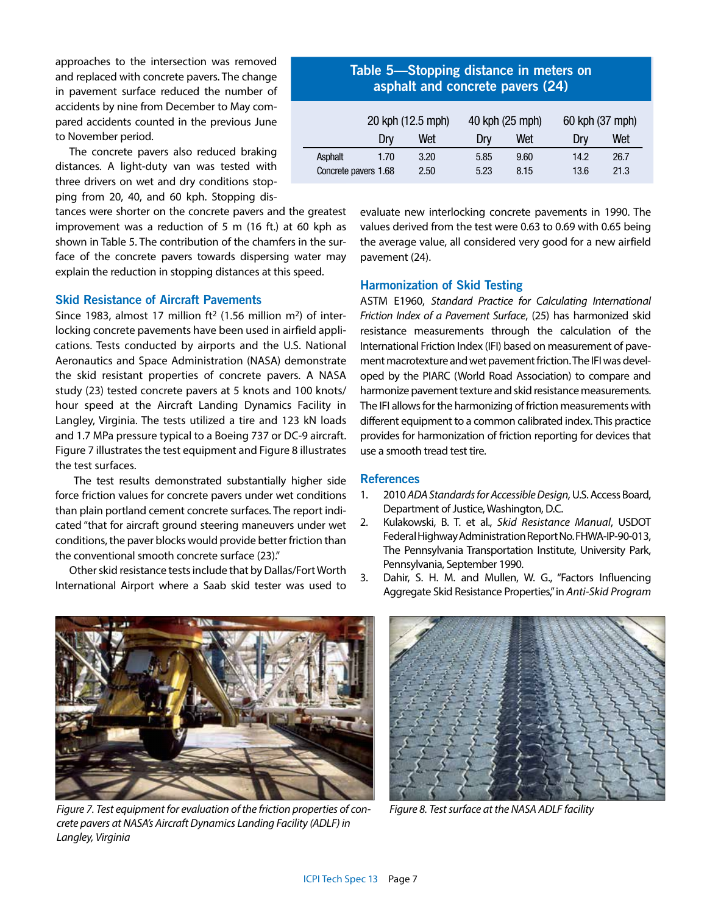approaches to the intersection was removed and replaced with concrete pavers. The change in pavement surface reduced the number of accidents by nine from December to May compared accidents counted in the previous June to November period.

The concrete pavers also reduced braking distances. A light-duty van was tested with three drivers on wet and dry conditions stopping from 20, 40, and 60 kph. Stopping dis-

tances were shorter on the concrete pavers and the greatest improvement was a reduction of 5 m (16 ft.) at 60 kph as shown in Table 5. The contribution of the chamfers in the surface of the concrete pavers towards dispersing water may explain the reduction in stopping distances at this speed.

# **Skid Resistance of Aircraft Pavements**

Since 1983, almost 17 million  $ft^2$  (1.56 million m<sup>2</sup>) of interlocking concrete pavements have been used in airfield applications. Tests conducted by airports and the U.S. National Aeronautics and Space Administration (NASA) demonstrate the skid resistant properties of concrete pavers. A NASA study (23) tested concrete pavers at 5 knots and 100 knots/ hour speed at the Aircraft Landing Dynamics Facility in Langley, Virginia. The tests utilized a tire and 123 kN loads and 1.7 MPa pressure typical to a Boeing 737 or DC-9 aircraft. Figure 7 illustrates the test equipment and Figure 8 illustrates the test surfaces.

 The test results demonstrated substantially higher side force friction values for concrete pavers under wet conditions than plain portland cement concrete surfaces. The report indicated "that for aircraft ground steering maneuvers under wet conditions, the paver blocks would provide better friction than the conventional smooth concrete surface (23)."

Other skid resistance tests include that by Dallas/Fort Worth International Airport where a Saab skid tester was used to

|  |  | Table 5—Stopping distance in meters on<br>asphalt and concrete pavers (24) |  |
|--|--|----------------------------------------------------------------------------|--|
|  |  |                                                                            |  |

|                      | 20 kph (12.5 mph) |      | 40 kph (25 mph) |      | 60 kph (37 mph) |      |
|----------------------|-------------------|------|-----------------|------|-----------------|------|
|                      | Drv               | Wet  | Drv             | Wet  | Drv             | Wet  |
| Asphalt              | 1.70              | 3.20 | 5.85            | 9.60 | 14.2            | 26.7 |
| Concrete pavers 1.68 |                   | 2.50 | 5.23            | 8.15 | 13.6            | 21.3 |

evaluate new interlocking concrete pavements in 1990. The values derived from the test were 0.63 to 0.69 with 0.65 being the average value, all considered very good for a new airfield pavement (24).

#### **Harmonization of Skid Testing**

ASTM E1960, *Standard Practice for Calculating International Friction Index of a Pavement Surface*, (25) has harmonized skid resistance measurements through the calculation of the International Friction Index (IFI) based on measurement of pavement macrotexture and wet pavement friction. The IFI was developed by the PIARC (World Road Association) to compare and harmonize pavement texture and skid resistance measurements. The IFI allows for the harmonizing of friction measurements with different equipment to a common calibrated index. This practice provides for harmonization of friction reporting for devices that use a smooth tread test tire.

## **References**

- 1. 2010 *ADA Standards for Accessible Design,* U.S. Access Board, Department of Justice, Washington, D.C.
- 2. Kulakowski, B. T. et al., *Skid Resistance Manual*, USDOT Federal Highway Administration Report No. FHWA-IP-90-013, The Pennsylvania Transportation Institute, University Park, Pennsylvania, September 1990.
- 3. Dahir, S. H. M. and Mullen, W. G., "Factors Influencing Aggregate Skid Resistance Properties," in *Anti-Skid Program*



*Figure 7. Test equipment for evaluation of the friction properties of concrete pavers at NASA's Aircraft Dynamics Landing Facility (ADLF) in Langley, Virginia*



*Figure 8. Test surface at the NASA ADLF facility*